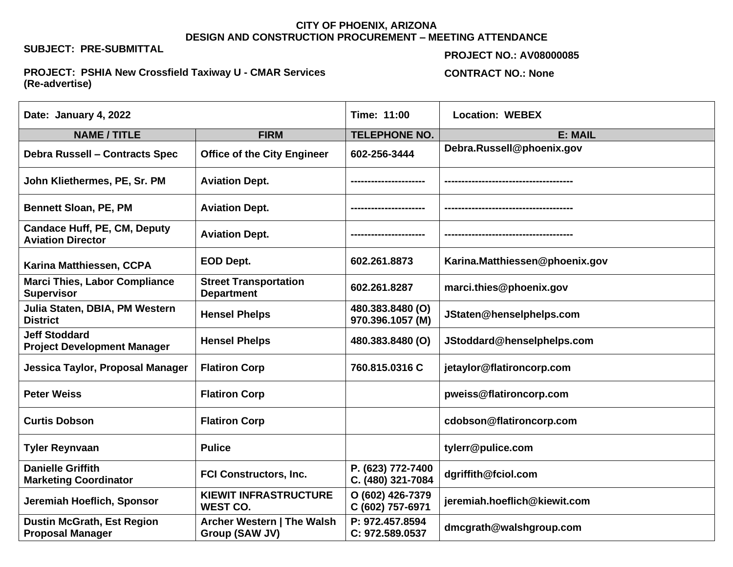### **CITY OF PHOENIX, ARIZONA DESIGN AND CONSTRUCTION PROCUREMENT – MEETING ATTENDANCE**

## **SUBJECT: PRE-SUBMITTAL**

#### **PROJECT NO.: AV08000085**

### **PROJECT: PSHIA New Crossfield Taxiway U - CMAR Services (Re-advertise)**

# **CONTRACT NO.: None**

| Date: January 4, 2022                                           |                                                   | Time: 11:00                            | <b>Location: WEBEX</b>         |
|-----------------------------------------------------------------|---------------------------------------------------|----------------------------------------|--------------------------------|
| <b>NAME / TITLE</b>                                             | <b>FIRM</b>                                       | <b>TELEPHONE NO.</b>                   | E: MAIL                        |
| <b>Debra Russell - Contracts Spec</b>                           | <b>Office of the City Engineer</b>                | 602-256-3444                           | Debra.Russell@phoenix.gov      |
| John Kliethermes, PE, Sr. PM                                    | <b>Aviation Dept.</b>                             |                                        |                                |
| <b>Bennett Sloan, PE, PM</b>                                    | <b>Aviation Dept.</b>                             |                                        |                                |
| <b>Candace Huff, PE, CM, Deputy</b><br><b>Aviation Director</b> | <b>Aviation Dept.</b>                             |                                        |                                |
| Karina Matthiessen, CCPA                                        | EOD Dept.                                         | 602.261.8873                           | Karina.Matthiessen@phoenix.gov |
| <b>Marci Thies, Labor Compliance</b><br><b>Supervisor</b>       | <b>Street Transportation</b><br><b>Department</b> | 602.261.8287                           | marci.thies@phoenix.gov        |
| Julia Staten, DBIA, PM Western<br><b>District</b>               | <b>Hensel Phelps</b>                              | 480.383.8480 (O)<br>970.396.1057 (M)   | JStaten@henselphelps.com       |
| <b>Jeff Stoddard</b><br><b>Project Development Manager</b>      | <b>Hensel Phelps</b>                              | 480.383.8480 (O)                       | JStoddard@henselphelps.com     |
| Jessica Taylor, Proposal Manager                                | <b>Flatiron Corp</b>                              | 760.815.0316 C                         | jetaylor@flatironcorp.com      |
| <b>Peter Weiss</b>                                              | <b>Flatiron Corp</b>                              |                                        | pweiss@flatironcorp.com        |
| <b>Curtis Dobson</b>                                            | <b>Flatiron Corp</b>                              |                                        | cdobson@flatironcorp.com       |
| <b>Tyler Reynvaan</b>                                           | <b>Pulice</b>                                     |                                        | tylerr@pulice.com              |
| <b>Danielle Griffith</b><br><b>Marketing Coordinator</b>        | <b>FCI Constructors, Inc.</b>                     | P. (623) 772-7400<br>C. (480) 321-7084 | dgriffith@fciol.com            |
| Jeremiah Hoeflich, Sponsor                                      | <b>KIEWIT INFRASTRUCTURE</b><br><b>WEST CO.</b>   | O (602) 426-7379<br>C (602) 757-6971   | jeremiah.hoeflich@kiewit.com   |
| <b>Dustin McGrath, Est Region</b><br><b>Proposal Manager</b>    | Archer Western   The Walsh<br>Group (SAW JV)      | P: 972.457.8594<br>C: 972.589.0537     | dmcgrath@walshgroup.com        |